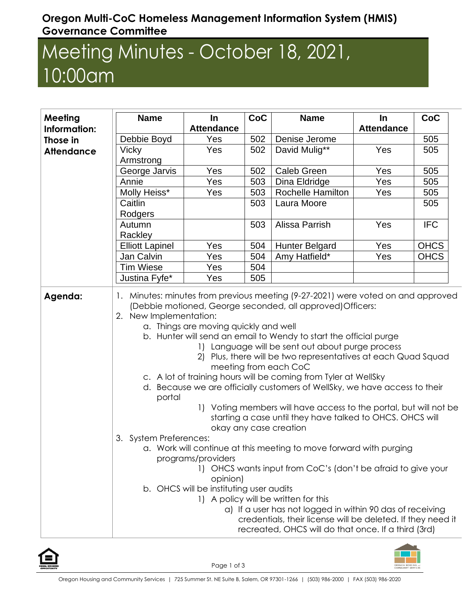## **Oregon Multi-CoC Homeless Management Information System (HMIS) Governance Committee**

## Meeting Minutes - October 18, 2021, 10:00am

| <b>Meeting</b>    | <b>Name</b>                                                                                                                                                                                                                                                                                                                                                                                                                                                                                                                                                                                                                                                                                                                                                                                                                                                                                                                                                                                                                                                                                                                                                                                                                            | In                | CoC | <b>Name</b>              | In                | CoC         |  |
|-------------------|----------------------------------------------------------------------------------------------------------------------------------------------------------------------------------------------------------------------------------------------------------------------------------------------------------------------------------------------------------------------------------------------------------------------------------------------------------------------------------------------------------------------------------------------------------------------------------------------------------------------------------------------------------------------------------------------------------------------------------------------------------------------------------------------------------------------------------------------------------------------------------------------------------------------------------------------------------------------------------------------------------------------------------------------------------------------------------------------------------------------------------------------------------------------------------------------------------------------------------------|-------------------|-----|--------------------------|-------------------|-------------|--|
| Information:      |                                                                                                                                                                                                                                                                                                                                                                                                                                                                                                                                                                                                                                                                                                                                                                                                                                                                                                                                                                                                                                                                                                                                                                                                                                        | <b>Attendance</b> |     |                          | <b>Attendance</b> |             |  |
| Those in          | Debbie Boyd                                                                                                                                                                                                                                                                                                                                                                                                                                                                                                                                                                                                                                                                                                                                                                                                                                                                                                                                                                                                                                                                                                                                                                                                                            | Yes               | 502 | Denise Jerome            |                   | 505         |  |
| <b>Attendance</b> | <b>Vicky</b>                                                                                                                                                                                                                                                                                                                                                                                                                                                                                                                                                                                                                                                                                                                                                                                                                                                                                                                                                                                                                                                                                                                                                                                                                           | Yes               | 502 | David Mulig**            | Yes               | 505         |  |
|                   | Armstrong                                                                                                                                                                                                                                                                                                                                                                                                                                                                                                                                                                                                                                                                                                                                                                                                                                                                                                                                                                                                                                                                                                                                                                                                                              |                   |     |                          |                   |             |  |
|                   | George Jarvis                                                                                                                                                                                                                                                                                                                                                                                                                                                                                                                                                                                                                                                                                                                                                                                                                                                                                                                                                                                                                                                                                                                                                                                                                          | Yes               | 502 | <b>Caleb Green</b>       | Yes               | 505         |  |
|                   | Annie                                                                                                                                                                                                                                                                                                                                                                                                                                                                                                                                                                                                                                                                                                                                                                                                                                                                                                                                                                                                                                                                                                                                                                                                                                  | Yes               | 503 | Dina Eldridge            | Yes               | 505         |  |
|                   | Molly Heiss*                                                                                                                                                                                                                                                                                                                                                                                                                                                                                                                                                                                                                                                                                                                                                                                                                                                                                                                                                                                                                                                                                                                                                                                                                           | Yes               | 503 | <b>Rochelle Hamilton</b> | Yes               | 505         |  |
|                   | Caitlin                                                                                                                                                                                                                                                                                                                                                                                                                                                                                                                                                                                                                                                                                                                                                                                                                                                                                                                                                                                                                                                                                                                                                                                                                                |                   | 503 | Laura Moore              |                   | 505         |  |
|                   | Rodgers                                                                                                                                                                                                                                                                                                                                                                                                                                                                                                                                                                                                                                                                                                                                                                                                                                                                                                                                                                                                                                                                                                                                                                                                                                |                   |     |                          |                   |             |  |
|                   | Autumn                                                                                                                                                                                                                                                                                                                                                                                                                                                                                                                                                                                                                                                                                                                                                                                                                                                                                                                                                                                                                                                                                                                                                                                                                                 |                   | 503 | Alissa Parrish           | Yes               | <b>IFC</b>  |  |
|                   | Rackley                                                                                                                                                                                                                                                                                                                                                                                                                                                                                                                                                                                                                                                                                                                                                                                                                                                                                                                                                                                                                                                                                                                                                                                                                                |                   |     |                          |                   |             |  |
|                   | <b>Elliott Lapinel</b>                                                                                                                                                                                                                                                                                                                                                                                                                                                                                                                                                                                                                                                                                                                                                                                                                                                                                                                                                                                                                                                                                                                                                                                                                 | Yes               | 504 | <b>Hunter Belgard</b>    | Yes               | <b>OHCS</b> |  |
|                   | Jan Calvin                                                                                                                                                                                                                                                                                                                                                                                                                                                                                                                                                                                                                                                                                                                                                                                                                                                                                                                                                                                                                                                                                                                                                                                                                             | Yes               | 504 | Amy Hatfield*            | Yes               | <b>OHCS</b> |  |
|                   | <b>Tim Wiese</b>                                                                                                                                                                                                                                                                                                                                                                                                                                                                                                                                                                                                                                                                                                                                                                                                                                                                                                                                                                                                                                                                                                                                                                                                                       | Yes               | 504 |                          |                   |             |  |
|                   | Justina Fyfe*                                                                                                                                                                                                                                                                                                                                                                                                                                                                                                                                                                                                                                                                                                                                                                                                                                                                                                                                                                                                                                                                                                                                                                                                                          | Yes               | 505 |                          |                   |             |  |
|                   | Minutes: minutes from previous meeting (9-27-2021) were voted on and approved<br>1.<br>(Debbie motioned, George seconded, all approved) Officers:<br>2. New Implementation:<br>a. Things are moving quickly and well<br>b. Hunter will send an email to Wendy to start the official purge<br>1) Language will be sent out about purge process<br>2) Plus, there will be two representatives at each Quad Squad<br>meeting from each CoC<br>c. A lot of training hours will be coming from Tyler at WellSky<br>d. Because we are officially customers of WellSky, we have access to their<br>portal<br>1) Voting members will have access to the portal, but will not be<br>starting a case until they have talked to OHCS. OHCS will<br>okay any case creation<br>3. System Preferences:<br>a. Work will continue at this meeting to move forward with purging<br>programs/providers<br>1) OHCS wants input from CoC's (don't be afraid to give your<br>opinion)<br>b. OHCS will be instituting user audits<br>1) A policy will be written for this<br>a) If a user has not logged in within 90 das of receiving<br>credentials, their license will be deleted. If they need it<br>recreated, OHCS will do that once. If a third (3rd) |                   |     |                          |                   |             |  |

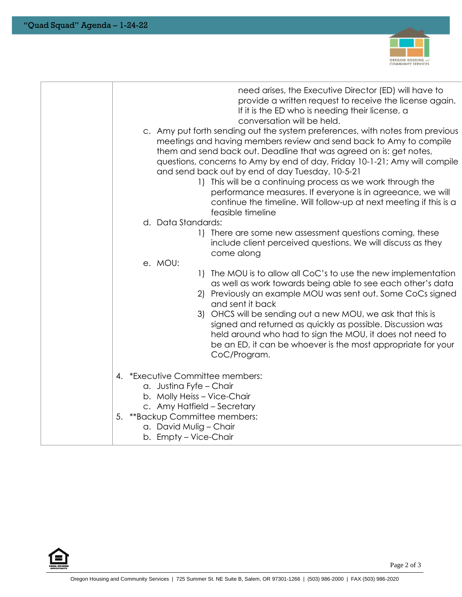

| need arises, the Executive Director (ED) will have to<br>provide a written request to receive the license again.<br>If it is the ED who is needing their license, a<br>conversation will be held.<br>c. Amy put forth sending out the system preferences, with notes from previous<br>meetings and having members review and send back to Amy to compile<br>them and send back out. Deadline that was agreed on is: get notes,<br>questions, concerns to Amy by end of day, Friday 10-1-21; Amy will compile<br>and send back out by end of day Tuesday, 10-5-21<br>1) This will be a continuing process as we work through the<br>performance measures. If everyone is in agreeance, we will<br>continue the timeline. Will follow-up at next meeting if this is a<br>feasible timeline<br>d. Data Standards: |
|----------------------------------------------------------------------------------------------------------------------------------------------------------------------------------------------------------------------------------------------------------------------------------------------------------------------------------------------------------------------------------------------------------------------------------------------------------------------------------------------------------------------------------------------------------------------------------------------------------------------------------------------------------------------------------------------------------------------------------------------------------------------------------------------------------------|
| 1) There are some new assessment questions coming, these<br>include client perceived questions. We will discuss as they<br>come along<br>e. MOU:                                                                                                                                                                                                                                                                                                                                                                                                                                                                                                                                                                                                                                                               |
| The MOU is to allow all CoC's to use the new implementation<br>$\left  \cdot \right $<br>as well as work towards being able to see each other's data<br>2) Previously an example MOU was sent out. Some CoCs signed<br>and sent it back<br>3) OHCS will be sending out a new MOU, we ask that this is<br>signed and returned as quickly as possible. Discussion was<br>held around who had to sign the MOU, it does not need to<br>be an ED, it can be whoever is the most appropriate for your<br>CoC/Program.                                                                                                                                                                                                                                                                                                |
| 4. *Executive Committee members:<br>a. Justina Fyfe - Chair<br>b. Molly Heiss - Vice-Chair<br>c. Amy Hatfield - Secretary<br>5. **Backup Committee members:<br>a. David Mulig - Chair<br>b. Empty – Vice-Chair                                                                                                                                                                                                                                                                                                                                                                                                                                                                                                                                                                                                 |